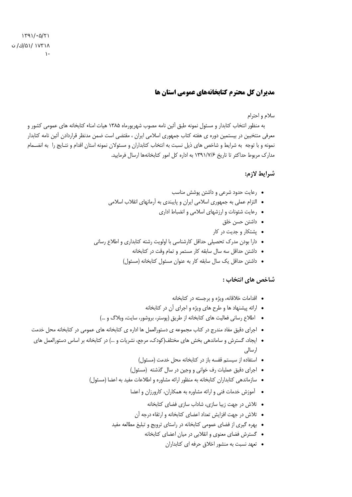## مدد ان کل محترم کتابخانههای عمومی استان ها

## سلام و احترام

به منظور انتخاب كتابدار و مسئول نمونه طبق آئين نامه مصوب شهريورماه ١٣٨۵ هيات امناء كتابخانه هاى عمومى كشور و معرفی منتخبین در بیستمین دوره ی هفته کتاب جمهوری اسلامی ایران ، مقتضی است ضمن مدنظر قراردادن آئین نامه کتابدار نمونه و با توجه به شرایط و شاخص های ذیل نسبت به انتخاب کتابداران و مسئولان نمونه استان اقدام و نتـایج را به انضـمام مدارک مربوط حداکثر تا تاریخ ۱۳۹۱/۷/۶ به اداره کل امور کتابخانهها ارسال فرمایید.

## شرايط لازم:

- رعایت حدود شرعی و داشتن پوشش مناسب
- التزام عملي به جمهوري اسلامي ايران و پايبندي به آرمانهاي انقلاب اسلامي
	- رعايت شئونات و ارزشهاى اسلامى و انضباط ادارى
		- داشتن حسن خلق
		- پشتکار و جدیت در کار
- دارا بودن مدرک تحصیلی حداقل کارشناسی با اولویت رشته کتابداری و اطلاع رسانی
	- داشتن حداقل سه سال سابقه کار مستمر و تمام وقت در کتابخانه
	- داشتن حداقل یک سال سابقه کار به عنوان مسئول کتابخانه (مسئول)

## شاخص های انتخاب :

- اقدامات خلاقانه، ویژه و برجسته در کتابخانه
- ارائه پیشنهاد ها و طرح های ویژه و اجرای آن در کتابخانه
- اطلاع رسانی فعالیت های کتابخانه از طریق (پوستر، بروشور، سایت، وبلاگ و …)
- اجرای دقیق مفاد مندرج در کتاب مجموعه ی دستورالعمل ها اداره ی کتابخانه های عمومی در کتابخانه محل خدمت
- ایجاد، گسترش و ساماندهی بخش های مختلف(کودک، مرجع، نشریات و …) در کتابخانه بر اساس دستورالعمل های ار سالی
	- استفاده از سیستم قفسه باز در کتابخانه محل خدمت (مسئول)
	- اجرای دقیق عملیات رف خوانی و وجین در سال گذشته (مسئول)
	- سازماندهی کتابداران کتابخانه به منظور ارائه مشاوره و اطلاعات مفید به اعضا (مسئول)
		- آموزش خدمات فنی و ارائه مشاوره به همکاران، کارورزان و اعضا
			- تلاش در جهت زیبا سازی، شاداب سازی فضای کتابخانه
			- تلاش در جهت افزایش تعداد اعضای کتابخانه و ارتقاء درجه آن
		- بهره گیری از فضای عمومی کتابخانه در راستای ترویج و تبلیغ مطالعه مفید
			- گسترش فضای معنوی و انقلابی در میان اعضای کتابخانه
				- تعهد نسبت به منشور اخلاق جرفه ای کتابداران